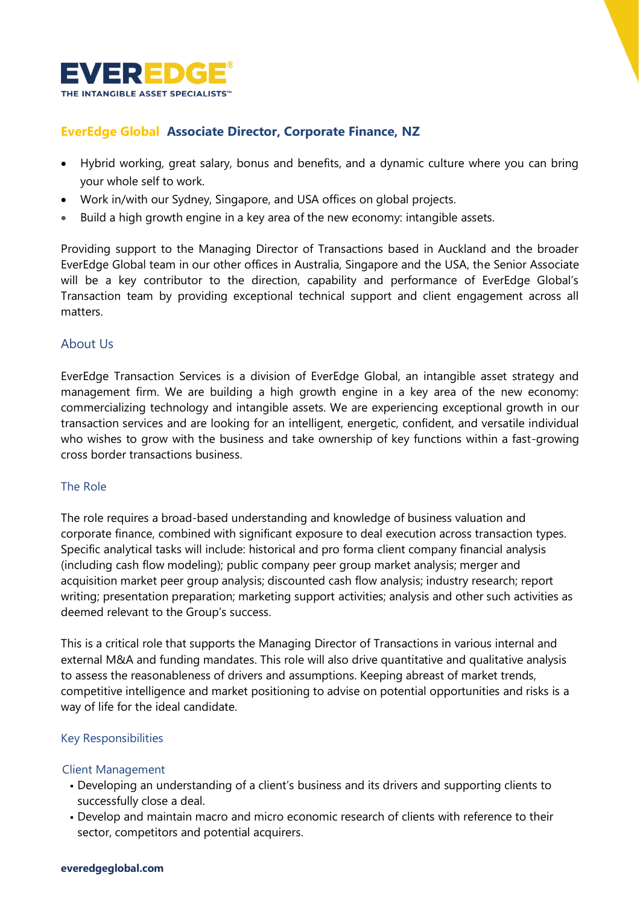

# **EverEdge Global Associate Director, Corporate Finance, NZ**

- Hybrid working, great salary, bonus and benefits, and a dynamic culture where you can bring your whole self to work.
- Work in/with our Sydney, Singapore, and USA offices on global projects.
- Build a high growth engine in a key area of the new economy: intangible assets.

Providing support to the Managing Director of Transactions based in Auckland and the broader EverEdge Global team in our other offices in Australia, Singapore and the USA, the Senior Associate will be a key contributor to the direction, capability and performance of EverEdge Global's Transaction team by providing exceptional technical support and client engagement across all matters.

## About Us

EverEdge Transaction Services is a division of EverEdge Global, an intangible asset strategy and management firm. We are building a high growth engine in a key area of the new economy: commercializing technology and intangible assets. We are experiencing exceptional growth in our transaction services and are looking for an intelligent, energetic, confident, and versatile individual who wishes to grow with the business and take ownership of key functions within a fast-growing cross border transactions business.

#### The Role

The role requires a broad-based understanding and knowledge of business valuation and corporate finance, combined with significant exposure to deal execution across transaction types. Specific analytical tasks will include: historical and pro forma client company financial analysis (including cash flow modeling); public company peer group market analysis; merger and acquisition market peer group analysis; discounted cash flow analysis; industry research; report writing; presentation preparation; marketing support activities; analysis and other such activities as deemed relevant to the Group's success.

This is a critical role that supports the Managing Director of Transactions in various internal and external M&A and funding mandates. This role will also drive quantitative and qualitative analysis to assess the reasonableness of drivers and assumptions. Keeping abreast of market trends, competitive intelligence and market positioning to advise on potential opportunities and risks is a way of life for the ideal candidate.

#### Key Responsibilities

#### Client Management

- Developing an understanding of a client's business and its drivers and supporting clients to successfully close a deal.
- Develop and maintain macro and micro economic research of clients with reference to their sector, competitors and potential acquirers.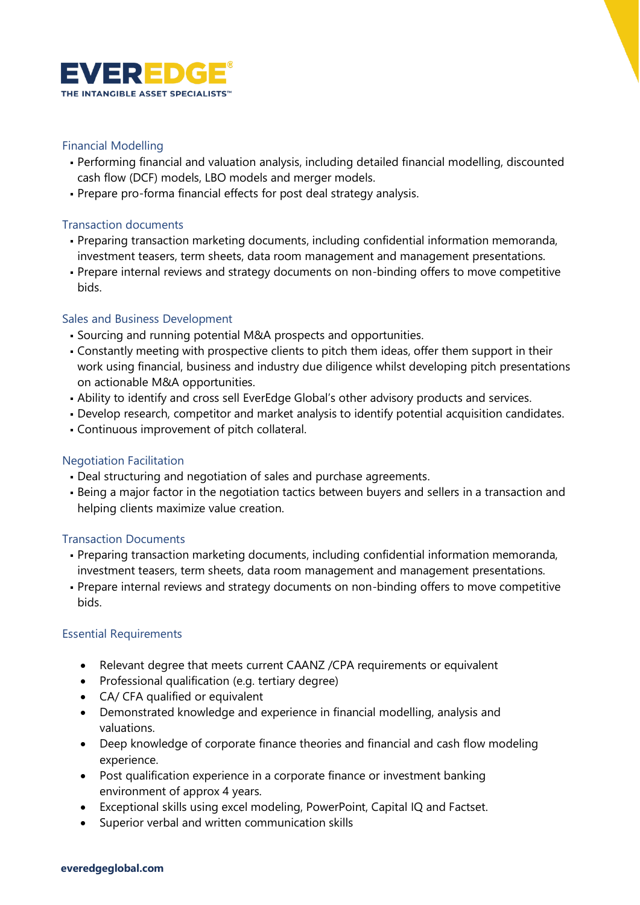

## Financial Modelling

- Performing financial and valuation analysis, including detailed financial modelling, discounted cash flow (DCF) models, LBO models and merger models.
- Prepare pro-forma financial effects for post deal strategy analysis.

## Transaction documents

- Preparing transaction marketing documents, including confidential information memoranda, investment teasers, term sheets, data room management and management presentations.
- Prepare internal reviews and strategy documents on non-binding offers to move competitive bids.

## Sales and Business Development

- Sourcing and running potential M&A prospects and opportunities.
- Constantly meeting with prospective clients to pitch them ideas, offer them support in their work using financial, business and industry due diligence whilst developing pitch presentations on actionable M&A opportunities.
- . Ability to identify and cross sell EverEdge Global's other advisory products and services.
- Develop research, competitor and market analysis to identify potential acquisition candidates.
- Continuous improvement of pitch collateral.

# Negotiation Facilitation

- Deal structuring and negotiation of sales and purchase agreements.
- **.** Being a major factor in the negotiation tactics between buyers and sellers in a transaction and helping clients maximize value creation.

# Transaction Documents

- Preparing transaction marketing documents, including confidential information memoranda, investment teasers, term sheets, data room management and management presentations.
- Prepare internal reviews and strategy documents on non-binding offers to move competitive bids.

# Essential Requirements

- Relevant degree that meets current CAANZ /CPA requirements or equivalent
- Professional qualification (e.g. tertiary degree)
- CA/ CFA qualified or equivalent
- Demonstrated knowledge and experience in financial modelling, analysis and valuations.
- Deep knowledge of corporate finance theories and financial and cash flow modeling experience.
- Post qualification experience in a corporate finance or investment banking environment of approx 4 years.
- Exceptional skills using excel modeling, PowerPoint, Capital IQ and Factset.
- Superior verbal and written communication skills